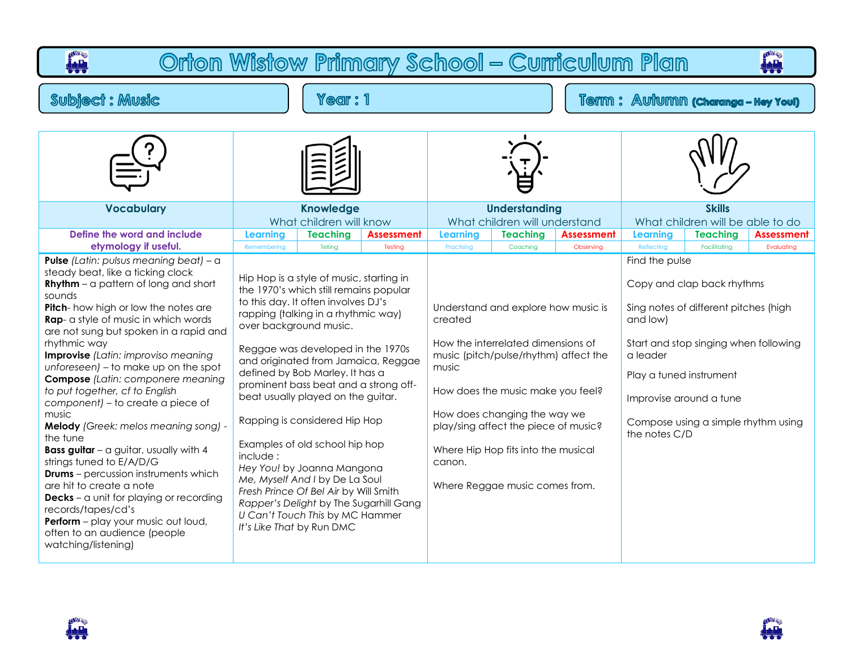## **PART** Orton Wistow Primary School - Curriculum Plan **PARA Subject: Music** Year: 1 Term : Autumn (charanga - Hey You) **Vocabulary Knowledge Understanding Skills** What children will know What children will understand What children will be able to do **Define the word and include Learning Teaching Assessment Learning Teaching Assessment Learning Teaching Assessment etymology if useful.** Remembering | Telling | Testing | Practising | Coaching | Observing | Reflecting | Facilitating | Evaluating **Pulse** *(Latin: pulsus meaning beat)* – a Find the pulse steady beat, like a ticking clock Hip Hop is a style of music, starting in **Rhythm** – a pattern of long and short Copy and clap back rhythms the 1970's which still remains popular sounds to this day. It often involves DJ's **Pitch**- how high or low the notes are Understand and explore how music is Sing notes of different pitches (high rapping (talking in a rhythmic way) **Rap**- a style of music in which words created and low) over background music. are not sung but spoken in a rapid and rhythmic way How the interrelated dimensions of Start and stop singing when following Reggae was developed in the 1970s **Improvise** *(Latin: improviso meaning*  music (pitch/pulse/rhythm) affect the a leader and originated from Jamaica, Reggae *unforeseen)* – to make up on the spot music defined by Bob Marley. It has a Play a tuned instrument **Compose** *(Latin: componere meaning*  prominent bass beat and a strong off*to put together, cf to English*  How does the music make you feel? beat usually played on the guitar. Improvise around a tune *component)* – to create a piece of music How does changing the way we Rapping is considered Hip Hop Compose using a simple rhythm using **Melody** *(Greek: melos meaning song)* play/sing affect the piece of music? the notes C/Dthe tune Examples of old school hip hop **Bass guitar** – a guitar, usually with 4 Where Hip Hop fits into the musical include : strings tuned to E/A/D/G canon. *Hey You!* by Joanna Mangona **Drums** – percussion instruments which *Me, Myself And I* by De La Soul are hit to create a note Where Reggae music comes from. *Fresh Prince Of Bel Air* by Will Smith **Decks** – a unit for playing or recording *Rapper's Delight* by The Sugarhill Gang records/tapes/cd's *U Can't Touch This* by MC Hammer **Perform** – play your music out loud, *It's Like That* by Run DMC often to an audience (people watching/listening)

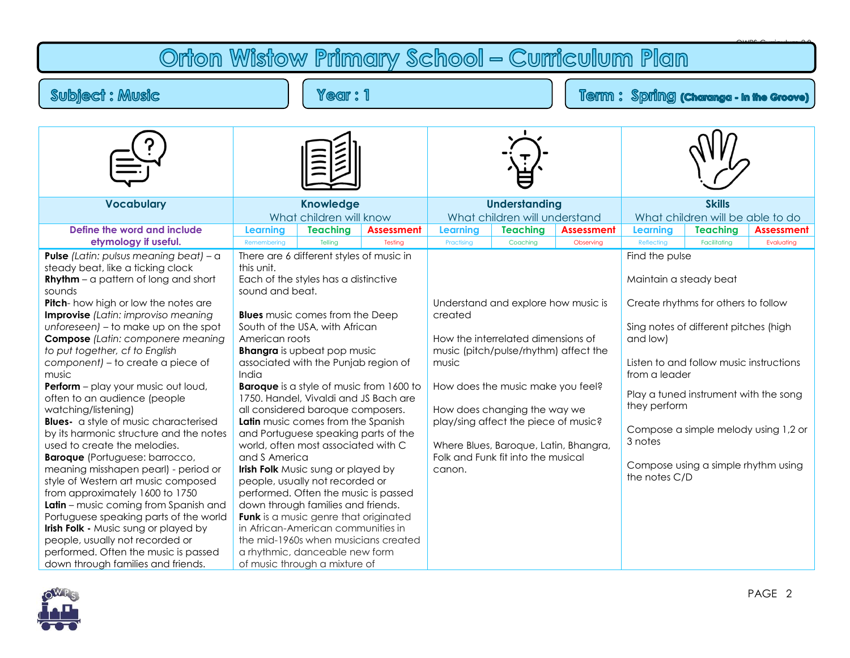## Orton Wistow Primary School - Curriculum Plan

## Subject : Music

Year: 1

## Term: Spring (charanga - In the Groove)

| <b>Knowledge</b>    |                 |                                                    | <b>Understanding</b>                                                                                                                                                                                                                                                                                                                                                                                                                                                                                                                                                                                                                                                                                                                                                                                                                                                                |                 |                   | <b>Skills</b><br>What children will be able to do                                                                                                                                                                                                                                                                                               |                 |                                                                                                                                                                                                                                                                                                                                               |
|---------------------|-----------------|----------------------------------------------------|-------------------------------------------------------------------------------------------------------------------------------------------------------------------------------------------------------------------------------------------------------------------------------------------------------------------------------------------------------------------------------------------------------------------------------------------------------------------------------------------------------------------------------------------------------------------------------------------------------------------------------------------------------------------------------------------------------------------------------------------------------------------------------------------------------------------------------------------------------------------------------------|-----------------|-------------------|-------------------------------------------------------------------------------------------------------------------------------------------------------------------------------------------------------------------------------------------------------------------------------------------------------------------------------------------------|-----------------|-----------------------------------------------------------------------------------------------------------------------------------------------------------------------------------------------------------------------------------------------------------------------------------------------------------------------------------------------|
| Learning            | <b>Teaching</b> | <b>Assessment</b>                                  | <b>Learning</b>                                                                                                                                                                                                                                                                                                                                                                                                                                                                                                                                                                                                                                                                                                                                                                                                                                                                     | <b>Teaching</b> | <b>Assessment</b> | <b>Learning</b>                                                                                                                                                                                                                                                                                                                                 | <b>Teaching</b> | <b>Assessment</b>                                                                                                                                                                                                                                                                                                                             |
| Remembering         | Tellina         | Testina                                            | Practising                                                                                                                                                                                                                                                                                                                                                                                                                                                                                                                                                                                                                                                                                                                                                                                                                                                                          | Coaching        | Observing         | Reflecting                                                                                                                                                                                                                                                                                                                                      | Facilitating    | Evaluating                                                                                                                                                                                                                                                                                                                                    |
| this unit.<br>India |                 |                                                    | created<br>music<br>canon.                                                                                                                                                                                                                                                                                                                                                                                                                                                                                                                                                                                                                                                                                                                                                                                                                                                          |                 |                   | and low)<br>3 notes                                                                                                                                                                                                                                                                                                                             |                 |                                                                                                                                                                                                                                                                                                                                               |
|                     |                 | sound and beat.<br>American roots<br>and S America | What children will know<br>There are 6 different styles of music in<br>Each of the styles has a distinctive<br><b>Blues</b> music comes from the Deep<br>South of the USA, with African<br><b>Bhangra</b> is upbeat pop music<br>associated with the Punjab region of<br><b>Baroque</b> is a style of music from 1600 to<br>1750. Handel, Vivaldi and JS Bach are<br>all considered baroque composers.<br>Latin music comes from the Spanish<br>and Portuguese speaking parts of the<br>world, often most associated with C<br><b>Irish Folk</b> Music sung or played by<br>people, usually not recorded or<br>performed. Often the music is passed<br>down through families and friends.<br>Funk is a music genre that originated<br>in African-American communities in<br>the mid-1960s when musicians created<br>a rhythmic, danceable new form<br>of music through a mixture of |                 |                   | What children will understand<br>Understand and explore how music is<br>How the interrelated dimensions of<br>music (pitch/pulse/rhythm) affect the<br>How does the music make you feel?<br>How does changing the way we<br>play/sing affect the piece of music?<br>Where Blues, Baroque, Latin, Bhangra,<br>Folk and Funk fit into the musical |                 | Find the pulse<br>Maintain a steady beat<br>Create rhythms for others to follow<br>Sing notes of different pitches (high<br>Listen to and follow music instructions<br>from a leader<br>Play a tuned instrument with the song<br>they perform<br>Compose a simple melody using 1,2 or<br>Compose using a simple rhythm using<br>the notes C/D |

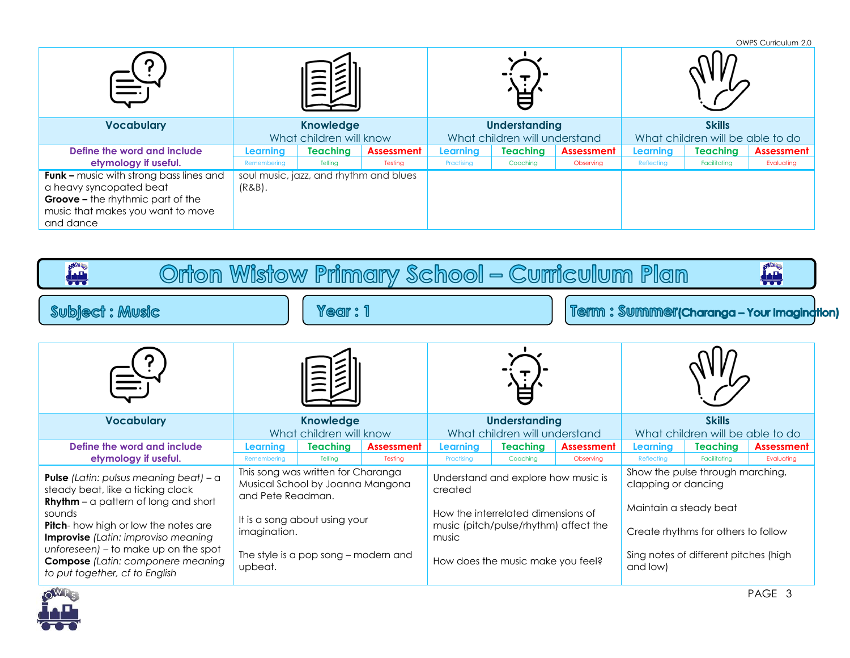|                                                                                                                                                                         |                         |                                        |            |                               |          |            |                                  |                 | OWPS Curriculum 2.0 |
|-------------------------------------------------------------------------------------------------------------------------------------------------------------------------|-------------------------|----------------------------------------|------------|-------------------------------|----------|------------|----------------------------------|-----------------|---------------------|
|                                                                                                                                                                         |                         |                                        |            |                               |          |            |                                  |                 |                     |
| <b>Vocabulary</b>                                                                                                                                                       | <b>Knowledge</b>        |                                        |            | <b>Understanding</b>          |          |            | <b>Skills</b>                    |                 |                     |
|                                                                                                                                                                         | What children will know |                                        |            | What children will understand |          |            | What children will be able to do |                 |                     |
| Define the word and include                                                                                                                                             | Learning                | <b>Teaching</b>                        | Assessment | Learning                      | Teaching | Assessment | Learning                         | <b>Teaching</b> | <b>Assessment</b>   |
| etymology if useful.                                                                                                                                                    | Remembering             | Telling                                | Testing    | Practising                    | Coaching | Observing  | Reflecting                       | Facilitating    | Evaluating          |
| <b>Funk -</b> music with strong bass lines and<br>a heavy syncopated beat<br><b>Groove - the rhythmic part of the</b><br>music that makes you want to move<br>and dance | $(R&B)$ .               | soul music, jazz, and rhythm and blues |            |                               |          |            |                                  |                 |                     |

| <b>ALL</b><br><b>ALL</b><br>Orton Wistow Primary School – Curriculum Plan                                                                                                                                                        |                                               |                                                                        |                              |                                                                                      |                                     |                                |                                                               |                                 |                                 |  |  |
|----------------------------------------------------------------------------------------------------------------------------------------------------------------------------------------------------------------------------------|-----------------------------------------------|------------------------------------------------------------------------|------------------------------|--------------------------------------------------------------------------------------|-------------------------------------|--------------------------------|---------------------------------------------------------------|---------------------------------|---------------------------------|--|--|
| Year: 1<br><b>Subject: Music</b>                                                                                                                                                                                                 |                                               |                                                                        |                              | Term: Summer(Charanga - Your Imagination)                                            |                                     |                                |                                                               |                                 |                                 |  |  |
|                                                                                                                                                                                                                                  |                                               |                                                                        |                              |                                                                                      |                                     |                                |                                                               |                                 |                                 |  |  |
| <b>Vocabulary</b>                                                                                                                                                                                                                | <b>Knowledge</b><br>What children will know   |                                                                        |                              | <b>Understanding</b><br>What children will understand                                |                                     |                                | <b>Skills</b><br>What children will be able to do             |                                 |                                 |  |  |
| Define the word and include<br>etymology if useful.                                                                                                                                                                              | <b>Learning</b><br>Remembering                | <b>Teaching</b><br>Tellina                                             | <b>Assessment</b><br>Testina | <b>Learning</b><br>Practising                                                        | <b>Teaching</b><br>Coachina         | <b>Assessment</b><br>Observina | <b>Learning</b><br>Reflecting                                 | <b>Teaching</b><br>Facilitatina | <b>Assessment</b><br>Evaluatina |  |  |
| <b>Pulse</b> (Latin: pulsus meaning beat) - a<br>steady beat, like a ticking clock<br><b>Rhythm</b> – a pattern of long and short<br>sounds<br>Pitch-how high or low the notes are<br><b>Improvise</b> (Latin: improviso meaning | and Pete Readman.                             | This song was written for Charanga<br>Musical School by Joanna Mangona |                              | created                                                                              | Understand and explore how music is |                                | Show the pulse through marching,<br>clapping or dancing       |                                 |                                 |  |  |
|                                                                                                                                                                                                                                  | It is a song about using your<br>imagination. |                                                                        |                              | How the interrelated dimensions of<br>music (pitch/pulse/rhythm) affect the<br>music |                                     |                                | Maintain a steady beat<br>Create rhythms for others to follow |                                 |                                 |  |  |
| unforeseen) - to make up on the spot<br><b>Compose</b> (Latin: componere meaning<br>to put together, cf to English                                                                                                               | upbeat.                                       | The style is a pop song – modern and                                   |                              | How does the music make you feel?                                                    |                                     |                                | Sing notes of different pitches (high<br>and low)             |                                 |                                 |  |  |